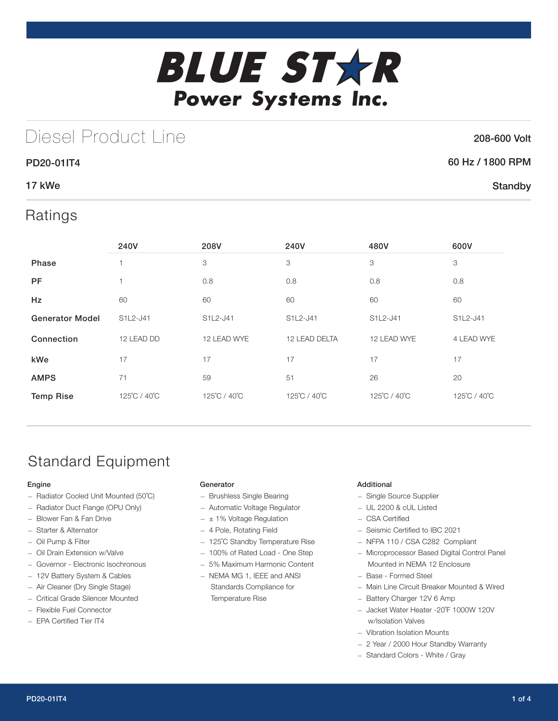

# Diesel Product Line

### 208-600 Volt

**Standby** 

## 60 Hz / 1800 RPM

## 17 kWe

## Ratings

PD20-01IT4

|                        | 240V         | 208V         | 240V          | 480V         | 600V         |
|------------------------|--------------|--------------|---------------|--------------|--------------|
| Phase                  | ٠            | 3            | 3             | 3            | 3            |
| <b>PF</b>              | 1            | 0.8          | 0.8           | 0.8          | 0.8          |
| Hz                     | 60           | 60           | 60            | 60           | 60           |
| <b>Generator Model</b> | S1L2-J41     | S1L2-J41     | S1L2-J41      | S1L2-J41     | S1L2-J41     |
| Connection             | 12 LEAD DD   | 12 LEAD WYE  | 12 LEAD DELTA | 12 LEAD WYE  | 4 LEAD WYE   |
| kWe                    | 17           | 17           | 17            | 17           | 17           |
| <b>AMPS</b>            | 71           | 59           | 51            | 26           | 20           |
| <b>Temp Rise</b>       | 125°C / 40°C | 125°C / 40°C | 125°C / 40°C  | 125°C / 40°C | 125°C / 40°C |

# Standard Equipment

### Engine

- Radiator Cooled Unit Mounted (50˚C)
- Radiator Duct Flange (OPU Only)
- Blower Fan & Fan Drive
- Starter & Alternator
- Oil Pump & Filter
- Oil Drain Extension w/Valve
- Governor Electronic Isochronous
- 12V Battery System & Cables
- Air Cleaner (Dry Single Stage)
- Critical Grade Silencer Mounted
- Flexible Fuel Connector
- EPA Certified Tier IT4

#### Generator

- Brushless Single Bearing
- Automatic Voltage Regulator
- $\pm$  1% Voltage Regulation
- 4 Pole, Rotating Field
- 125˚C Standby Temperature Rise
- 100% of Rated Load One Step
- 5% Maximum Harmonic Content
- NEMA MG 1, IEEE and ANSI Standards Compliance for Temperature Rise

### Additional

- Single Source Supplier
- UL 2200 & cUL Listed
- CSA Certified
- Seismic Certified to IBC 2021
- NFPA 110 / CSA C282 Compliant
- Microprocessor Based Digital Control Panel Mounted in NEMA 12 Enclosure
- Base Formed Steel
- Main Line Circuit Breaker Mounted & Wired
- Battery Charger 12V 6 Amp
- Jacket Water Heater -20˚F 1000W 120V w/Isolation Valves
- Vibration Isolation Mounts
- 2 Year / 2000 Hour Standby Warranty
- Standard Colors White / Gray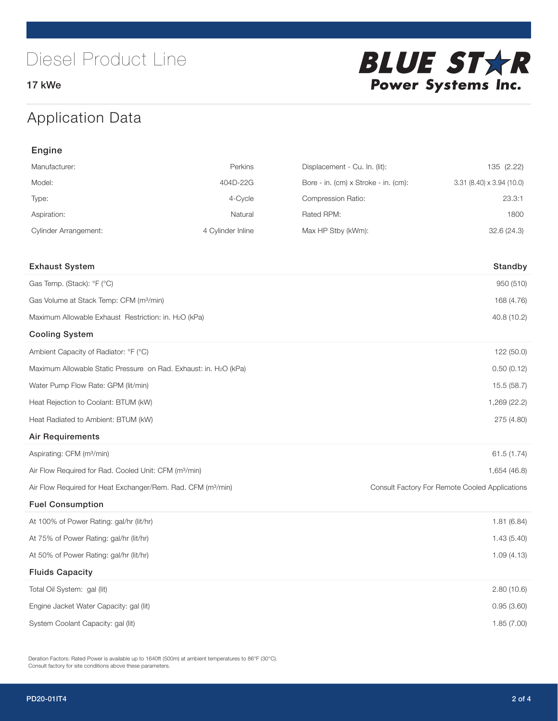17 kWe



# Application Data

| Engine                                                                   |                   |                                      |                                                |
|--------------------------------------------------------------------------|-------------------|--------------------------------------|------------------------------------------------|
| Manufacturer:                                                            | Perkins           | Displacement - Cu. In. (lit):        | 135 (2.22)                                     |
| Model:                                                                   | 404D-22G          | Bore - in. (cm) x Stroke - in. (cm): | $3.31$ (8.40) x $3.94$ (10.0)                  |
| Type:                                                                    | 4-Cycle           | Compression Ratio:                   | 23.3:1                                         |
| Aspiration:                                                              | Natural           | Rated RPM:                           | 1800                                           |
| <b>Cylinder Arrangement:</b>                                             | 4 Cylinder Inline | Max HP Stby (kWm):                   | 32.6(24.3)                                     |
|                                                                          |                   |                                      |                                                |
| <b>Exhaust System</b>                                                    |                   |                                      | Standby                                        |
| Gas Temp. (Stack): °F (°C)                                               |                   |                                      | 950 (510)                                      |
| Gas Volume at Stack Temp: CFM (m <sup>3</sup> /min)                      |                   |                                      | 168 (4.76)                                     |
| Maximum Allowable Exhaust Restriction: in. H2O (kPa)                     |                   |                                      | 40.8 (10.2)                                    |
| <b>Cooling System</b>                                                    |                   |                                      |                                                |
| Ambient Capacity of Radiator: °F (°C)                                    |                   |                                      | 122 (50.0)                                     |
| Maximum Allowable Static Pressure on Rad. Exhaust: in. H2O (kPa)         |                   |                                      | 0.50(0.12)                                     |
| Water Pump Flow Rate: GPM (lit/min)                                      |                   |                                      | 15.5 (58.7)                                    |
| Heat Rejection to Coolant: BTUM (kW)                                     |                   |                                      | 1,269 (22.2)                                   |
| Heat Radiated to Ambient: BTUM (kW)                                      |                   |                                      | 275 (4.80)                                     |
| <b>Air Requirements</b>                                                  |                   |                                      |                                                |
| Aspirating: CFM (m <sup>3</sup> /min)                                    |                   |                                      | 61.5 (1.74)                                    |
| Air Flow Required for Rad. Cooled Unit: CFM (m <sup>3</sup> /min)        |                   |                                      | 1,654 (46.8)                                   |
| Air Flow Required for Heat Exchanger/Rem. Rad. CFM (m <sup>3</sup> /min) |                   |                                      | Consult Factory For Remote Cooled Applications |
| <b>Fuel Consumption</b>                                                  |                   |                                      |                                                |
| At 100% of Power Rating: gal/hr (lit/hr)                                 |                   |                                      | 1.81(6.84)                                     |
| At 75% of Power Rating: gal/hr (lit/hr)                                  |                   |                                      | 1.43(5.40)                                     |
| At 50% of Power Rating: gal/hr (lit/hr)                                  |                   |                                      | 1.09(4.13)                                     |
| <b>Fluids Capacity</b>                                                   |                   |                                      |                                                |
| Total Oil System: gal (lit)                                              |                   |                                      | 2.80(10.6)                                     |
| Engine Jacket Water Capacity: gal (lit)                                  |                   |                                      | 0.95(3.60)                                     |
| System Coolant Capacity: gal (lit)                                       |                   |                                      | 1.85(7.00)                                     |

Deration Factors: Rated Power is available up to 1640ft (500m) at ambient temperatures to 86°F (30°C). Consult factory for site conditions above these parameters.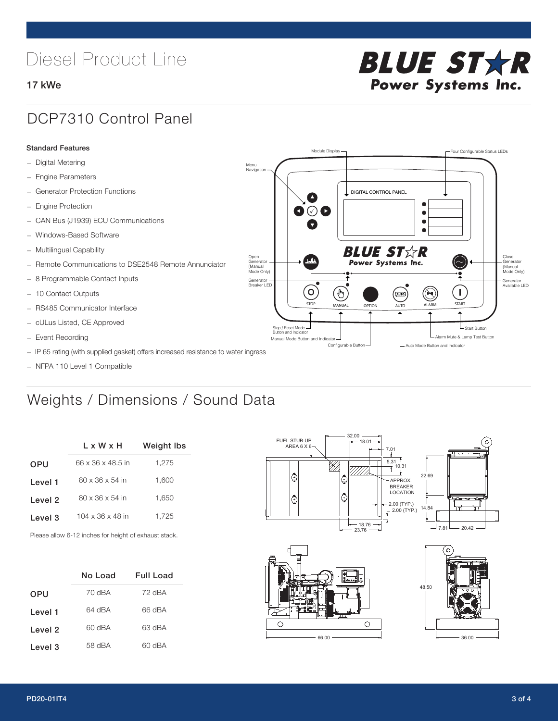# Diesel Product Line

### 17 kWe



## DCP7310 Control Panel

#### Standard Features

- Digital Metering
- Engine Parameters
- Generator Protection Functions
- Engine Protection
- CAN Bus (J1939) ECU Communications
- Windows-Based Software
- Multilingual Capability
- Remote Communications to DSE2548 Remote Annunciator
- 8 Programmable Contact Inputs
- 10 Contact Outputs
- RS485 Communicator Interface
- cULus Listed, CE Approved
- Event Recording
- IP 65 rating (with supplied gasket) offers increased resistance to water ingress
- NFPA 110 Level 1 Compatible

# Weights / Dimensions / Sound Data

|            | L x W x H                    | Weight Ibs |  |
|------------|------------------------------|------------|--|
| <b>OPU</b> | 66 x 36 x 48.5 in            | 1.275      |  |
| Level 1    | $80 \times 36 \times 54$ in  | 1.600      |  |
| Level 2    | $80 \times 36 \times 54$ in  | 1.650      |  |
| Level 3    | $104 \times 36 \times 48$ in | 1.725      |  |
|            |                              |            |  |

Please allow 6-12 inches for height of exhaust stack.

|            | No Load | <b>Full Load</b> |
|------------|---------|------------------|
| <b>OPU</b> | 70 dBA  | 72 dBA           |
| Level 1    | 64 dBA  | 66 dBA           |
| Level 2    | 60 dBA  | 63 dBA           |
| Level 3    | 58 dBA  | 60 dBA           |





 $\circ$ 

 $\bigcirc$ 66.00